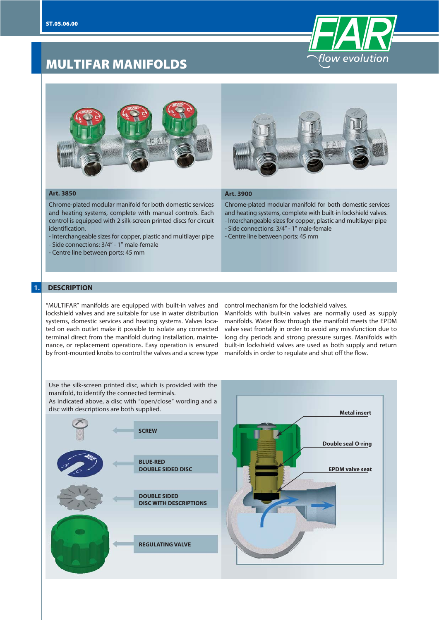







#### **Art. 3850**

Chrome-plated modular manifold for both domestic services and heating systems, complete with manual controls. Each control is equipped with 2 silk-screen printed discs for circuit identification.

- Interchangeable sizes for copper, plastic and multilayer pipe

- Side connections: 3/4" 1" male-female
- Centre line between ports: 45 mm

#### **Art. 3900**

Chrome-plated modular manifold for both domestic services and heating systems, complete with built-in lockshield valves. - Interchangeable sizes for copper, plastic and multilayer pipe - Side connections: 3/4" - 1" male-female

- Centre line between ports: 45 mm

## **1. DESCRIPTION**

"MULTIFAR" manifolds are equipped with built-in valves and lockshield valves and are suitable for use in water distribution systems, domestic services and heating systems. Valves located on each outlet make it possible to isolate any connected terminal direct from the manifold during installation, maintenance, or replacement operations. Easy operation is ensured by front-mounted knobs to control the valves and a screw type

control mechanism for the lockshield valves.

Manifolds with built-in valves are normally used as supply manifolds. Water flow through the manifold meets the EPDM valve seat frontally in order to avoid any missfunction due to long dry periods and strong pressure surges. Manifolds with built-in lockshield valves are used as both supply and return manifolds in order to regulate and shut off the flow.

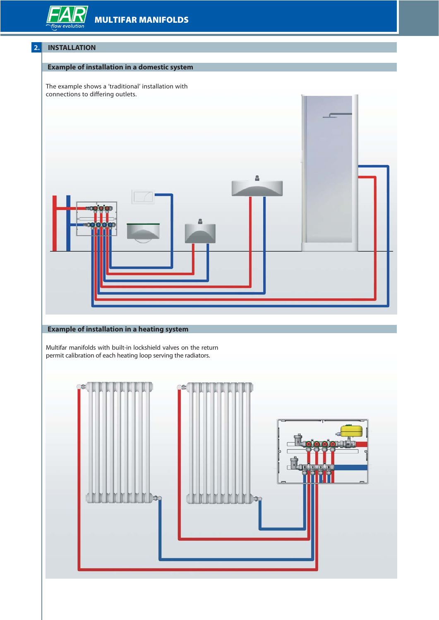**MULTIFAR MANIFOLDS**

# **2. INSTALLATION**

## **Example of installation in a domestic system**

The example shows a 'traditional' installation with connections to differing outlets.



# **Example of installation in a heating system**

Multifar manifolds with built-in lockshield valves on the return permit calibration of each heating loop serving the radiators.

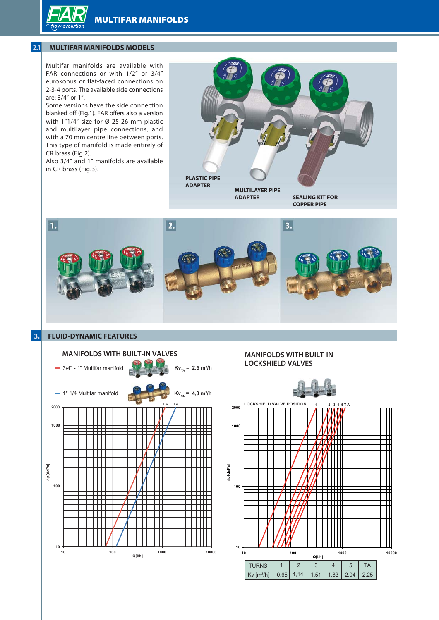**MULTIFAR MANIFOLDS**

# **2.1 MULTIFAR MANIFOLDS MODELS**

Multifar manifolds are available with FAR connections or with 1/2" or 3/4" eurokonus or flat-faced connections on 2-3-4 ports. The available side connections are: 3/4" or 1".

Some versions have the side connection blanked off (Fig.1). FAR offers also a version with 1"1/4" size for Ø 25-26 mm plastic and multilayer pipe connections, and with a 70 mm centre line between ports. This type of manifold is made entirely of CR brass (Fig.2).

Also 3/4" and 1" manifolds are available in CR brass (Fig.3).





### **3. FLUID-DYNAMIC FEATURES**



## **MANIFOLDS WITH BUILT-IN LOCKSHIELD VALVES**